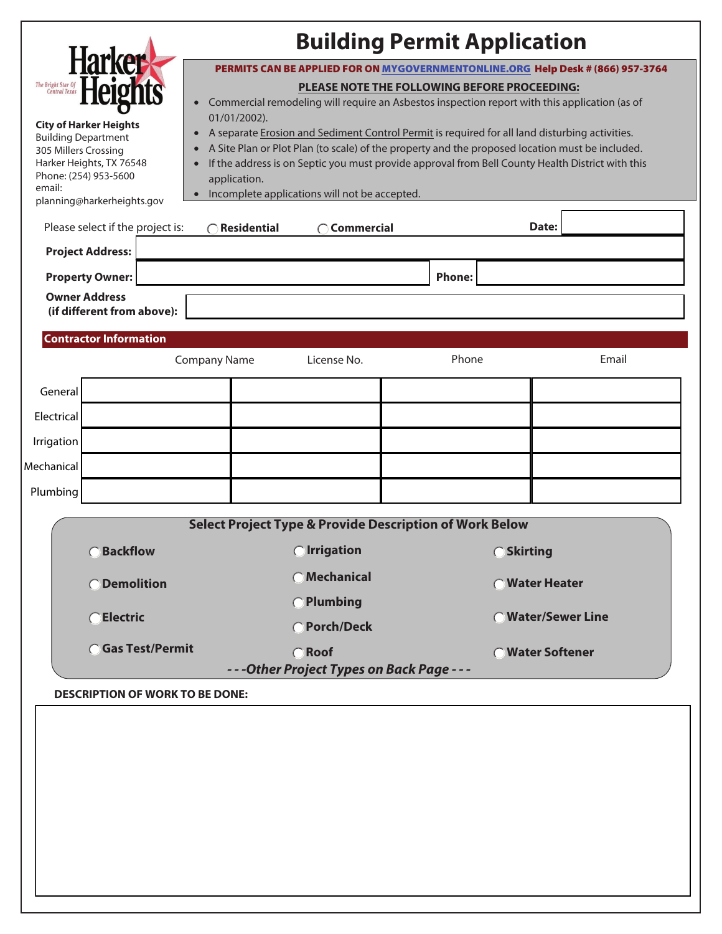|                                                                                                                                                                                                                                                                                                                                                                                                                                                                                                                                                                                                                                                                               |                                                                                               |                     |                                                                    | <b>Building Permit Application</b> |                    |  |  |
|-------------------------------------------------------------------------------------------------------------------------------------------------------------------------------------------------------------------------------------------------------------------------------------------------------------------------------------------------------------------------------------------------------------------------------------------------------------------------------------------------------------------------------------------------------------------------------------------------------------------------------------------------------------------------------|-----------------------------------------------------------------------------------------------|---------------------|--------------------------------------------------------------------|------------------------------------|--------------------|--|--|
|                                                                                                                                                                                                                                                                                                                                                                                                                                                                                                                                                                                                                                                                               | <b>Har</b><br>PERMITS CAN BE APPLIED FOR ON MYGOVERNMENTONLINE.ORG Help Desk # (866) 957-3764 |                     |                                                                    |                                    |                    |  |  |
| The Bright Star Of<br>Central Texas                                                                                                                                                                                                                                                                                                                                                                                                                                                                                                                                                                                                                                           | PLEASE NOTE THE FOLLOWING BEFORE PROCEEDING:                                                  |                     |                                                                    |                                    |                    |  |  |
| Commercial remodeling will require an Asbestos inspection report with this application (as of<br>01/01/2002).<br><b>City of Harker Heights</b><br>A separate Erosion and Sediment Control Permit is required for all land disturbing activities.<br><b>Building Department</b><br>A Site Plan or Plot Plan (to scale) of the property and the proposed location must be included.<br>305 Millers Crossing<br>Harker Heights, TX 76548<br>If the address is on Septic you must provide approval from Bell County Health District with this<br>Phone: (254) 953-5600<br>application.<br>email:<br>• Incomplete applications will not be accepted.<br>planning@harkerheights.gov |                                                                                               |                     |                                                                    |                                    |                    |  |  |
|                                                                                                                                                                                                                                                                                                                                                                                                                                                                                                                                                                                                                                                                               | Please select if the project is:                                                              | Residential         | Commercial                                                         |                                    | Date:              |  |  |
| <b>Project Address:</b>                                                                                                                                                                                                                                                                                                                                                                                                                                                                                                                                                                                                                                                       |                                                                                               |                     |                                                                    |                                    |                    |  |  |
| <b>Property Owner:</b>                                                                                                                                                                                                                                                                                                                                                                                                                                                                                                                                                                                                                                                        |                                                                                               |                     |                                                                    | <b>Phone:</b>                      |                    |  |  |
| <b>Owner Address</b>                                                                                                                                                                                                                                                                                                                                                                                                                                                                                                                                                                                                                                                          |                                                                                               |                     |                                                                    |                                    |                    |  |  |
|                                                                                                                                                                                                                                                                                                                                                                                                                                                                                                                                                                                                                                                                               | (if different from above):                                                                    |                     |                                                                    |                                    |                    |  |  |
|                                                                                                                                                                                                                                                                                                                                                                                                                                                                                                                                                                                                                                                                               |                                                                                               |                     |                                                                    |                                    |                    |  |  |
|                                                                                                                                                                                                                                                                                                                                                                                                                                                                                                                                                                                                                                                                               | <b>Contractor Information</b>                                                                 |                     |                                                                    |                                    |                    |  |  |
|                                                                                                                                                                                                                                                                                                                                                                                                                                                                                                                                                                                                                                                                               |                                                                                               | <b>Company Name</b> | License No.                                                        | Phone                              | Email              |  |  |
| General                                                                                                                                                                                                                                                                                                                                                                                                                                                                                                                                                                                                                                                                       |                                                                                               |                     |                                                                    |                                    |                    |  |  |
| Electrical                                                                                                                                                                                                                                                                                                                                                                                                                                                                                                                                                                                                                                                                    |                                                                                               |                     |                                                                    |                                    |                    |  |  |
| Irrigation                                                                                                                                                                                                                                                                                                                                                                                                                                                                                                                                                                                                                                                                    |                                                                                               |                     |                                                                    |                                    |                    |  |  |
| Mechanical                                                                                                                                                                                                                                                                                                                                                                                                                                                                                                                                                                                                                                                                    |                                                                                               |                     |                                                                    |                                    |                    |  |  |
| Plumbing                                                                                                                                                                                                                                                                                                                                                                                                                                                                                                                                                                                                                                                                      |                                                                                               |                     |                                                                    |                                    |                    |  |  |
|                                                                                                                                                                                                                                                                                                                                                                                                                                                                                                                                                                                                                                                                               |                                                                                               |                     |                                                                    |                                    |                    |  |  |
|                                                                                                                                                                                                                                                                                                                                                                                                                                                                                                                                                                                                                                                                               |                                                                                               |                     | <b>Select Project Type &amp; Provide Description of Work Below</b> |                                    |                    |  |  |
|                                                                                                                                                                                                                                                                                                                                                                                                                                                                                                                                                                                                                                                                               | Backflow                                                                                      |                     | ◯ Irrigation                                                       | ○ Skirting                         |                    |  |  |
|                                                                                                                                                                                                                                                                                                                                                                                                                                                                                                                                                                                                                                                                               | ○Demolition                                                                                   |                     | ○ Mechanical                                                       |                                    | ◯ Water Heater     |  |  |
|                                                                                                                                                                                                                                                                                                                                                                                                                                                                                                                                                                                                                                                                               | ○Electric                                                                                     |                     | <b>O</b> Plumbing<br>○ Porch/Deck                                  |                                    | ◯ Water/Sewer Line |  |  |